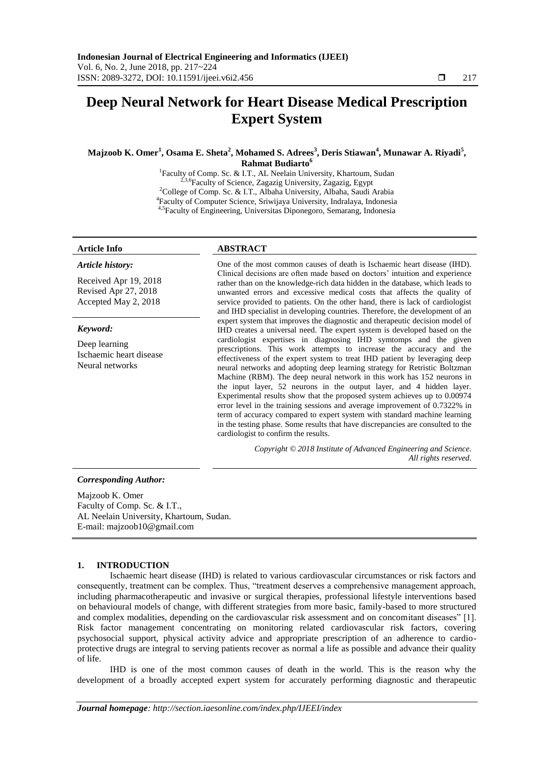# **Deep Neural Network for Heart Disease Medical Prescription Expert System**

**Majzoob K. Omer<sup>1</sup> , Osama E. Sheta<sup>2</sup> , Mohamed S. Adrees<sup>3</sup> , Deris Stiawan<sup>4</sup> , Munawar A. Riyadi<sup>5</sup> , Rahmat Budiarto<sup>6</sup>**

> <sup>1</sup>Faculty of Comp. Sc. & I.T., AL Neelain University, Khartoum, Sudan <sup>2,3,6</sup> Faculty of Science, Zagazig University, Zagazig, Egypt <sup>2</sup>College of Comp. Sc. & I.T., Albaha University, Albaha, Saudi Arabia 4 Faculty of Computer Science, Sriwijaya University, Indralaya, Indonesia 4,5Faculty of Engineering, Universitas Diponegoro, Semarang, Indonesia

## *Article history:*

Received Apr 19, 2018 Revised Apr 27, 2018 Accepted May 2, 2018

#### *Keyword:*

Deep learning Ischaemic heart disease Neural networks

## **Article Info ABSTRACT**

One of the most common causes of death is Ischaemic heart disease (IHD). Clinical decisions are often made based on doctors' intuition and experience rather than on the knowledge-rich data hidden in the database, which leads to unwanted errors and excessive medical costs that affects the quality of service provided to patients. On the other hand, there is lack of cardiologist and IHD specialist in developing countries. Therefore, the development of an expert system that improves the diagnostic and therapeutic decision model of IHD creates a universal need. The expert system is developed based on the cardiologist expertises in diagnosing IHD symtomps and the given prescriptions. This work attempts to increase the accuracy and the effectiveness of the expert system to treat IHD patient by leveraging deep neural networks and adopting deep learning strategy for Retristic Boltzman Machine (RBM). The deep neural network in this work has 152 neurons in the input layer, 52 neurons in the output layer, and 4 hidden layer. Experimental results show that the proposed system achieves up to 0.00974 error level in the training sessions and average improvement of 0.7322% in term of accuracy compared to expert system with standard machine learning in the testing phase. Some results that have discrepancies are consulted to the cardiologist to confirm the results.

> *Copyright © 2018 Institute of Advanced Engineering and Science. All rights reserved.*

## *Corresponding Author:*

Majzoob K. Omer Faculty of Comp. Sc. & I.T., AL Neelain University, Khartoum, Sudan. E-mail: majzoob10@gmail.com

## **1. INTRODUCTION**

Ischaemic heart disease (IHD) is related to various cardiovascular circumstances or risk factors and consequently, treatment can be complex. Thus, "treatment deserves a comprehensive management approach, including pharmacotherapeutic and invasive or surgical therapies, professional lifestyle interventions based on behavioural models of change, with different strategies from more basic, family-based to more structured and complex modalities, depending on the cardiovascular risk assessment and on concomitant diseases" [1]. Risk factor management concentrating on monitoring related cardiovascular risk factors, covering psychosocial support, physical activity advice and appropriate prescription of an adherence to cardioprotective drugs are integral to serving patients recover as normal a life as possible and advance their quality of life.

IHD is one of the most common causes of death in the world. This is the reason why the development of a broadly accepted expert system for accurately performing diagnostic and therapeutic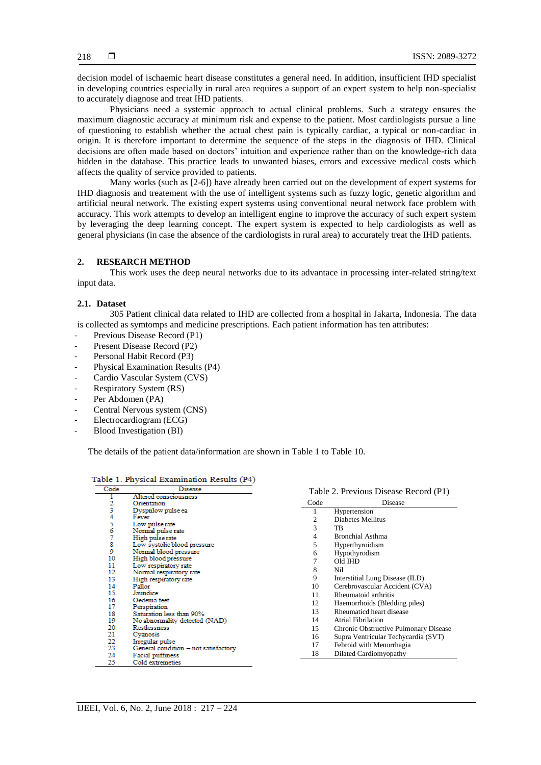decision model of ischaemic heart disease constitutes a general need. In addition, insufficient IHD specialist in developing countries especially in rural area requires a support of an expert system to help non-specialist to accurately diagnose and treat IHD patients.

Physicians need a systemic approach to actual clinical problems. Such a strategy ensures the maximum diagnostic accuracy at minimum risk and expense to the patient. Most cardiologists pursue a line of questioning to establish whether the actual chest pain is typically cardiac, a typical or non-cardiac in origin. It is therefore important to determine the sequence of the steps in the diagnosis of IHD. Clinical decisions are often made based on doctors' intuition and experience rather than on the knowledge-rich data hidden in the database. This practice leads to unwanted biases, errors and excessive medical costs which affects the quality of service provided to patients.

Many works (such as [2-6]) have already been carried out on the development of expert systems for IHD diagnosis and treatement with the use of intelligent systems such as fuzzy logic, genetic algorithm and artificial neural network. The existing expert systems using conventional neural network face problem with accuracy. This work attempts to develop an intelligent engine to improve the accuracy of such expert system by leveraging the deep learning concept. The expert system is expected to help cardiologists as well as general physicians (in case the absence of the cardiologists in rural area) to accurately treat the IHD patients.

## **2. RESEARCH METHOD**

This work uses the deep neural networks due to its advantace in processing inter-related string/text input data.

## **2.1. Dataset**

305 Patient clinical data related to IHD are collected from a hospital in Jakarta, Indonesia. The data is collected as symtomps and medicine prescriptions. Each patient information has ten attributes:

- Previous Disease Record (P1)
- Present Disease Record (P2)
- Personal Habit Record (P3)
- Physical Examination Results (P4)
- Cardio Vascular System (CVS)
- Respiratory System (RS)
- Per Abdomen (PA)
- Central Nervous system (CNS)
- Electrocardiogram (ECG)
- Blood Investigation (BI)

The details of the patient data/information are shown in Table 1 to Table 10.

|  |  |  |  |  | Table 1. Physical Examination Results (P4) |  |  |  |  |  |
|--|--|--|--|--|--------------------------------------------|--|--|--|--|--|
|--|--|--|--|--|--------------------------------------------|--|--|--|--|--|

| Code   | <b>Disease</b>                       |      | Table 2. Previous Disease Record (P1) |
|--------|--------------------------------------|------|---------------------------------------|
| 1      | Altered consciousness                |      |                                       |
| 2<br>3 | Orientation                          | Code | Disease                               |
|        | Dyspnlow pulse ea                    |      | Hypertension                          |
| 4      | Fever                                | 2    | Diabetes Mellitus                     |
| 5      | Low pulse rate                       | 3    | TB                                    |
| 6      | Normal pulse rate                    |      |                                       |
| 7      | High pulse rate                      | 4    | <b>Bronchial Asthma</b>               |
| 8      | Low systolic blood pressure          | 5    | Hyperthyroidism                       |
| 9      | Normal blood pressure                | 6    | Hypothyrodism                         |
| 10     | High blood pressure                  |      | Old IHD                               |
| 11     | Low respiratory rate                 | 8    | Nil                                   |
| 12     | Normal respiratory rate              |      |                                       |
| 13     | High respiratory rate                | 9    | Interstitial Lung Disease (ILD)       |
| 14     | Pallor                               | 10   | Cerebrovascular Accident (CVA)        |
| 15     | Jaundice                             | 11   | Rheumatoid arthritis                  |
| 16     | Oedema feet                          | 12   | Haemorrhoids (Bledding piles)         |
| 17     | Perspiration                         | 13   | Rheumaticd heart disease              |
| 18     | Saturation less than 90%             |      |                                       |
| 19     | No abnormality detected (NAD)        | 14   | <b>Atrial Fibrilation</b>             |
| 20     | Restlessness                         | 15   | Chronic Obstructive Pulmonary Disease |
| 21     | Cyanosis                             | 16   | Supra Ventricular Techycardia (SVT)   |
| 22     | Irregular pulse                      | 17   | Febroid with Menorrhagia              |
| 23     | General condition - not satisfactory |      |                                       |
| 24     | Facial puffiness                     | 18   | Dilated Cardiomyopathy                |
| 25     | Cold extremeties                     |      |                                       |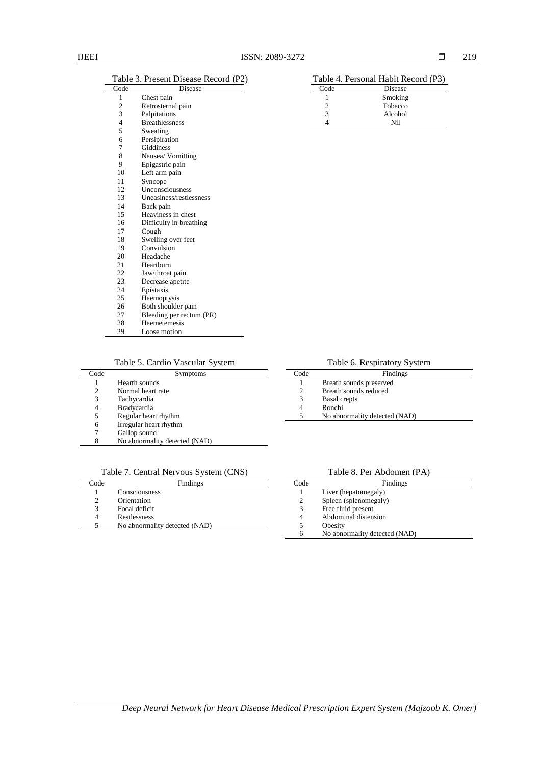$\overline{a}$ 

#### Table 3. Present Disease Record (P2)

| Code                    | Disease                  |
|-------------------------|--------------------------|
| 1                       | Chest pain               |
| $\overline{\mathbf{c}}$ | Retrosternal pain        |
| 3                       | Palpitations             |
| $\overline{4}$          | <b>Breathlessness</b>    |
| 5                       | Sweating                 |
| 6                       | Persipiration            |
| 7                       | Giddiness                |
| 8                       | Nausea/ Vomitting        |
| 9                       | Epigastric pain          |
| 10                      | Left arm pain            |
| 11                      | Syncope                  |
| 12                      | Unconsciousness          |
| 13                      | Uneasiness/restlessness  |
| 14                      | Back pain                |
| 15                      | Heaviness in chest       |
| 16                      | Difficulty in breathing  |
| 17                      | Cough                    |
| 18                      | Swelling over feet       |
| 19                      | Convulsion               |
| 20                      | Headache                 |
| 21                      | Hearthurn                |
| 22                      | Jaw/throat pain          |
| 23                      | Decrease apetite         |
| 24                      | Epistaxis                |
| 25                      | Haemoptysis              |
| 26                      | Both shoulder pain       |
| 27                      | Bleeding per rectum (PR) |
| 28                      | Haemetemesis             |
| 29                      | Loose motion             |

| Code | Disease |
|------|---------|
|      | Smoking |
|      | Tobacco |
|      | Alcohol |
|      | Ni1     |
|      |         |

Table 5. Cardio Vascular System

| Code | Symptoms                      |
|------|-------------------------------|
|      | Hearth sounds                 |
| 2    | Normal heart rate             |
| 3    | Tachycardia                   |
| 4    | <b>Bradycardia</b>            |
| 5    | Regular heart rhythm          |
| 6    | Irregular heart rhythm        |
|      | Gallop sound                  |
| 8    | No abnormality detected (NAD) |
|      |                               |

## Table 7. Central Nervous System (CNS)

| Code | Findings                      |  |  |  |  |  |
|------|-------------------------------|--|--|--|--|--|
|      | Consciousness                 |  |  |  |  |  |
|      | Orientation                   |  |  |  |  |  |
| 3    | Focal deficit                 |  |  |  |  |  |
| 4    | Restlessness                  |  |  |  |  |  |
|      | No abnormality detected (NAD) |  |  |  |  |  |

Table 6. Respiratory System

| Code | Findings                      |
|------|-------------------------------|
|      | Breath sounds preserved       |
|      | Breath sounds reduced         |
| 3    | <b>Basal</b> crepts           |
|      | Ronchi                        |
| 5    | No abnormality detected (NAD) |
|      |                               |

Table 8. Per Abdomen (PA)

| Code | Findings                      |
|------|-------------------------------|
|      | Liver (hepatomegaly)          |
| 2    | Spleen (splenomegaly)         |
| 3    | Free fluid present            |
| 4    | Abdominal distension          |
| 5    | Obesity                       |
|      | No abnormality detected (NAD) |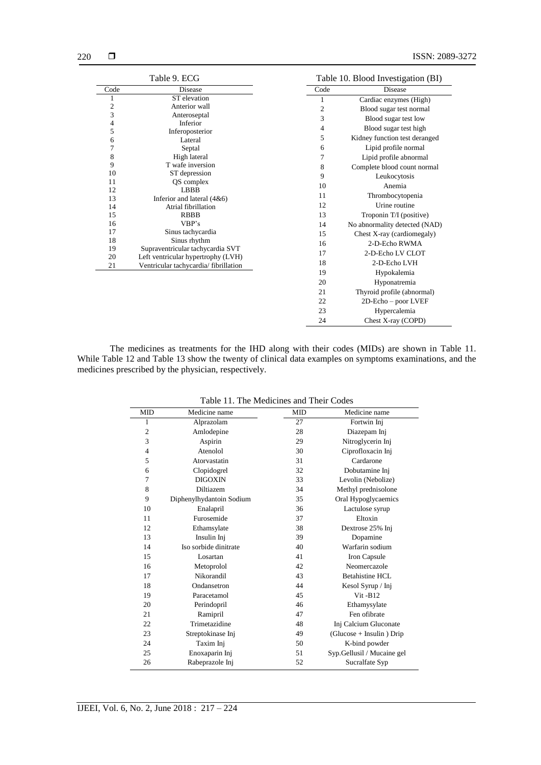|                         | Table 9. ECG                                                                |                | Table 10. Blood Investigation (BI) |
|-------------------------|-----------------------------------------------------------------------------|----------------|------------------------------------|
| Code                    | Disease                                                                     | Code           | Disease                            |
| 1                       | ST elevation                                                                | 1              | Cardiac enzymes (High)             |
| $\overline{\mathbf{c}}$ | Anterior wall                                                               | $\overline{2}$ | Blood sugar test normal            |
| 3                       | Anteroseptal                                                                | 3              | Blood sugar test low               |
| 4                       | Inferior                                                                    | $\overline{4}$ | Blood sugar test high              |
| 5<br>6                  | Inferoposterior<br>Lateral                                                  | 5              | Kidney function test deranged      |
| 7                       | Septal                                                                      | 6              | Lipid profile normal               |
| 8                       | High lateral                                                                | 7              | Lipid profile abnormal             |
| 9                       | T wafe inversion                                                            | 8              | Complete blood count normal        |
| 10                      | ST depression                                                               | 9              |                                    |
| 11                      | QS complex                                                                  |                | Leukocytosis                       |
| 12                      | LBBB                                                                        | 10             | Anemia                             |
| 13                      | Inferior and lateral $(4&6)$                                                | 11             | Thrombocytopenia                   |
| 14                      | Atrial fibrillation                                                         | 12             | Urine routine                      |
| 15                      | <b>RBBB</b>                                                                 | 13             | Troponin T/I (positive)            |
| 16                      | VBP's                                                                       | 14             | No abnormality detected (NAD)      |
| 17                      | Sinus tachycardia                                                           | 15             | Chest X-ray (cardiomegaly)         |
| 18                      | Sinus rhythm                                                                | 16             | 2-D-Echo RWMA                      |
| 19                      | Supraventricular tachycardia SVT                                            | 17             | 2-D-Echo LV CLOT                   |
| 20<br>21                | Left ventricular hypertrophy (LVH)<br>Ventricular tachycardia/ fibrillation | 18             | 2-D-Echo LVH                       |
|                         |                                                                             | 19             | Hypokalemia                        |
|                         |                                                                             | 20             | Hyponatremia                       |
|                         |                                                                             | 21             | Thyroid profile (abnormal)         |
|                         |                                                                             | 22             | 2D-Echo - poor LVEF                |
|                         |                                                                             | 23             |                                    |
|                         |                                                                             |                | Hypercalemia                       |
|                         |                                                                             | 24             | Chest X-ray (COPD)                 |

The medicines as treatments for the IHD along with their codes (MIDs) are shown in Table 11. While Table 12 and Table 13 show the twenty of clinical data examples on symptoms examinations, and the medicines prescribed by the physician, respectively.

| <b>MID</b>     | Medicine name            | <b>MID</b> | Medicine name               |
|----------------|--------------------------|------------|-----------------------------|
| 1              | Alprazolam               | 27         | Fortwin Inj                 |
| $\mathbf{2}$   | Amlodepine               | 28         | Diazepam Inj                |
| 3              | Aspirin                  | 29         | Nitroglycerin Inj           |
| $\overline{4}$ | Atenolol                 | 30         | Ciprofloxacin Inj           |
| 5              | Atorvastatin             | 31         | Cardarone                   |
| 6              | Clopidogrel              | 32         | Dobutamine Inj              |
| 7              | <b>DIGOXIN</b>           | 33         | Levolin (Nebolize)          |
| 8              | Diltiazem                | 34         | Methyl prednisolone         |
| 9              | Diphenylhydantoin Sodium | 35         | Oral Hypoglycaemics         |
| 10             | Enalapril                | 36         | Lactulose syrup             |
| 11             | Furosemide               | 37         | Eltoxin                     |
| 12             | Ethamsylate              | 38         | Dextrose 25% Inj            |
| 13             | Insulin Inj              | 39         | Dopamine                    |
| 14             | Iso sorbide dinitrate    | 40         | Warfarin sodium             |
| 15             | Losartan                 | 41         | Iron Capsule                |
| 16             | Metoprolol               | 42         | Neomercazole                |
| 17             | Nikorandil               | 43         | Betahistine HCL             |
| 18             | Ondansetron              | 44         | Kesol Syrup / Inj           |
| 19             | Paracetamol              | 45         | $V$ it - $B12$              |
| 20             | Perindopril              | 46         | Ethamysylate                |
| 21             | Ramipril                 | 47         | Fen of ibrate               |
| 22             | Trimetazidine            | 48         | Inj Calcium Gluconate       |
| 23             | Streptokinase Inj        | 49         | $(Glu\csc + Insulin)$ Drip  |
| 24             | Taxim Inj                | 50         | K-bind powder               |
| 25             | Enoxaparin Inj           | 51         | Syp. Gellusil / Mucaine gel |
| 26             | Rabeprazole Inj          | 52         | Sucralfate Syp              |
|                |                          |            |                             |

Table 11. The Medicines and Their Codes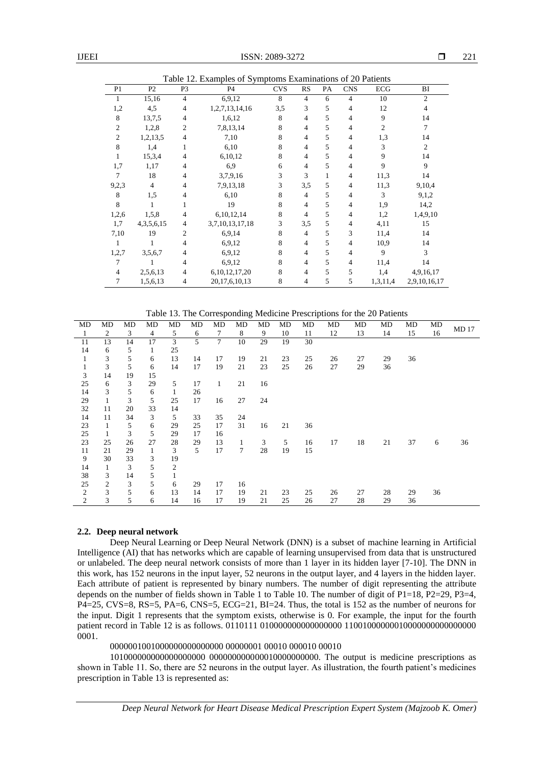|                | Table 12. Examples of Symptoms Examinations of 20 Patients |                |                   |            |                |    |                |                |                |
|----------------|------------------------------------------------------------|----------------|-------------------|------------|----------------|----|----------------|----------------|----------------|
| P <sub>1</sub> | P <sub>2</sub>                                             | P <sub>3</sub> | P4                | <b>CVS</b> | <b>RS</b>      | PA | <b>CNS</b>     | <b>ECG</b>     | BI             |
|                | 15,16                                                      | $\overline{4}$ | 6,9,12            | 8          | $\overline{4}$ | 6  | $\overline{4}$ | 10             | $\overline{2}$ |
| 1,2            | 4,5                                                        | 4              | 1,2,7,13,14,16    | 3,5        | 3              | 5  | 4              | 12             | 4              |
| 8              | 13,7,5                                                     | 4              | 1,6,12            | 8          | $\overline{4}$ | 5  | 4              | 9              | 14             |
| $\overline{2}$ | 1,2,8                                                      | 2              | 7,8,13,14         | 8          | $\overline{4}$ | 5  | 4              | $\overline{c}$ | 7              |
| $\overline{2}$ | 1,2,13,5                                                   | $\overline{4}$ | 7,10              | 8          | $\overline{4}$ | 5  | 4              | 1,3            | 14             |
| 8              | 1,4                                                        |                | 6,10              | 8          | $\overline{4}$ | 5  | 4              | 3              | $\overline{2}$ |
|                | 15,3,4                                                     | 4              | 6,10,12           | 8          | 4              | 5  | 4              | 9              | 14             |
| 1,7            | 1,17                                                       | 4              | 6,9               | 6          | 4              | 5  | 4              | 9              | $\overline{9}$ |
| 7              | 18                                                         | 4              | 3,7,9,16          | 3          | 3              | 1  | 4              | 11,3           | 14             |
| 9,2,3          | $\overline{4}$                                             | 4              | 7,9,13,18         | 3          | 3,5            | 5  | 4              | 11,3           | 9,10,4         |
| 8              | 1,5                                                        | 4              | 6,10              | 8          | $\overline{4}$ | 5  | 4              | 3              | 9,1,2          |
| 8              |                                                            |                | 19                | 8          | $\overline{4}$ | 5  | 4              | 1,9            | 14,2           |
| 1,2,6          | 1,5,8                                                      | 4              | 6,10,12,14        | 8          | $\overline{4}$ | 5  | 4              | 1,2            | 1,4,9,10       |
| 1,7            | 4, 3, 5, 6, 15                                             | 4              | 3,7,10,13,17,18   | 3          | 3,5            | 5  | 4              | 4,11           | 15             |
| 7,10           | 19                                                         | $\overline{c}$ | 6,9,14            | 8          | $\overline{4}$ | 5  | 3              | 11,4           | 14             |
|                |                                                            | 4              | 6,9,12            | 8          | $\overline{4}$ | 5  | 4              | 10,9           | 14             |
| 1,2,7          | 3,5,6,7                                                    | 4              | 6,9,12            | 8          | $\overline{4}$ | 5  | 4              | 9              | 3              |
| 7              |                                                            | 4              | 6,9,12            | 8          | $\overline{4}$ | 5  | $\overline{4}$ | 11,4           | 14             |
| $\overline{4}$ | 2,5,6,13                                                   | 4              | 6, 10, 12, 17, 20 | 8          | $\overline{4}$ | 5  | 5              | 1,4            | 4,9,16,17      |
| 7              | 1,5,6,13                                                   | 4              | 20, 17, 6, 10, 13 | 8          | $\overline{4}$ | 5  | 5              | 1,3,11,4       | 2,9,10,16,17   |

Table 13. The Corresponding Medicine Prescriptions for the 20 Patients

| MD           | MD             | MD | MD           | MD           | MD | MD           | MD     | MD | MD | MD | MD | MD | MD | MD | MD | <b>MD17</b> |
|--------------|----------------|----|--------------|--------------|----|--------------|--------|----|----|----|----|----|----|----|----|-------------|
| 1            | 2              | 3  | 4            | 5            | 6  | 7            | 8      | 9  | 10 | 11 | 12 | 13 | 14 | 15 | 16 |             |
| 11           | 13             | 14 | 17           | 3            | 5  | 7            | 10     | 29 | 19 | 30 |    |    |    |    |    |             |
| 14           | 6              | 5  | $\mathbf{1}$ | 25           |    |              |        |    |    |    |    |    |    |    |    |             |
| $\mathbf{1}$ | 3              | 5  | 6            | 13           | 14 | 17           | 19     | 21 | 23 | 25 | 26 | 27 | 29 | 36 |    |             |
| 1            | 3              | 5  | 6            | 14           | 17 | 19           | 21     | 23 | 25 | 26 | 27 | 29 | 36 |    |    |             |
| 3            | 14             | 19 | 15           |              |    |              |        |    |    |    |    |    |    |    |    |             |
| 25           | 6              | 3  | 29           | 5            | 17 | $\mathbf{1}$ | 21     | 16 |    |    |    |    |    |    |    |             |
| 14           | 3              | 5  | 6            | $\mathbf{1}$ | 26 |              |        |    |    |    |    |    |    |    |    |             |
| 29           | $\mathbf{1}$   | 3  | 5            | 25           | 17 | 16           | 27     | 24 |    |    |    |    |    |    |    |             |
| 32           | 11             | 20 | 33           | 14           |    |              |        |    |    |    |    |    |    |    |    |             |
| 14           | 11             | 34 | 3            | 5            | 33 | 35           | 24     |    |    |    |    |    |    |    |    |             |
| 23           | $\mathbf{1}$   | 5  | 6            | 29           | 25 | 17           | 31     | 16 | 21 | 36 |    |    |    |    |    |             |
| 25           | 1              | 3  | 5            | 29           | 17 | 16           |        |    |    |    |    |    |    |    |    |             |
| 23           | 25             | 26 | 27           | 28           | 29 | 13           | 1      | 3  | 5  | 16 | 17 | 18 | 21 | 37 | 6  | 36          |
| 11           | 21             | 29 | $\mathbf{1}$ | 3            | 5  | 17           | $\tau$ | 28 | 19 | 15 |    |    |    |    |    |             |
| 9            | 30             | 33 | 3            | 19           |    |              |        |    |    |    |    |    |    |    |    |             |
| 14           | $\mathbf{1}$   | 3  | 5            | 2            |    |              |        |    |    |    |    |    |    |    |    |             |
| 38           | 3              | 14 | 5            | 1            |    |              |        |    |    |    |    |    |    |    |    |             |
| 25           | $\mathfrak{2}$ | 3  | 5            | 6            | 29 | 17           | 16     |    |    |    |    |    |    |    |    |             |
| $\sqrt{2}$   | 3              | 5  | 6            | 13           | 14 | 17           | 19     | 21 | 23 | 25 | 26 | 27 | 28 | 29 | 36 |             |
| 2            | 3              | 5  | 6            | 14           | 16 | 17           | 19     | 21 | 25 | 26 | 27 | 28 | 29 | 36 |    |             |

## **2.2. Deep neural network**

Deep Neural Learning or Deep Neural Network (DNN) is a subset of machine learning in Artificial Intelligence (AI) that has networks which are capable of learning unsupervised from data that is unstructured or unlabeled. The deep neural network consists of more than 1 layer in its hidden layer [7-10]. The DNN in this work, has 152 neurons in the input layer, 52 neurons in the output layer, and 4 layers in the hidden layer. Each attribute of patient is represented by binary numbers. The number of digit representing the attribute depends on the number of fields shown in Table 1 to Table 10. The number of digit of  $P1=18$ ,  $P2=29$ ,  $P3=4$ , P4=25, CVS=8, RS=5, PA=6, CNS=5, ECG=21, BI=24. Thus, the total is 152 as the number of neurons for the input. Digit 1 represents that the symptom exists, otherwise is 0. For example, the input for the fourth patient record in Table 12 is as follows. 0110111 010000000000000000 11001000000010000000000000000 0001.

## 0000001001000000000000000 00000001 00010 000010 00010

101000000000000000000 000000000000010000000000. The output is medicine prescriptions as shown in Table 11. So, there are 52 neurons in the output layer. As illustration, the fourth patient's medicines prescription in Table 13 is represented as:

*Deep Neural Network for Heart Disease Medical Prescription Expert System (Majzoob K. Omer)*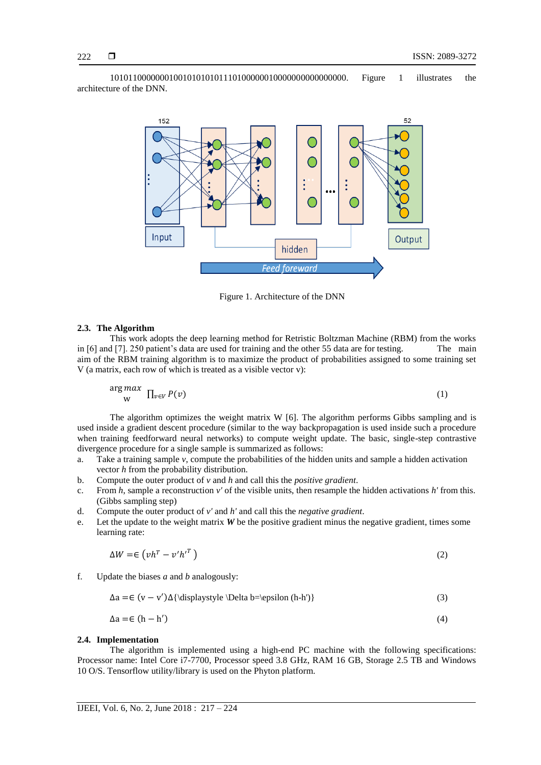1010110000000100101010101110100000010000000000000000. Figure 1 illustrates the architecture of the DNN.



Figure 1. Architecture of the DNN

#### **2.3. The Algorithm**

This work adopts the deep learning method for Retristic Boltzman Machine (RBM) from the works in [6] and [7]. 250 patient's data are used for training and the other 55 data are for testing. The main aim of the RBM training algorithm is to maximize the product of probabilities assigned to some training set V (a matrix, each row of which is treated as a visible vector v):

$$
\mathop{\rm arg\,max}_{\mathbf{w}} \ \prod_{v \in V} P(v) \tag{1}
$$

The algorithm optimizes the weight matrix W [6]. The algorithm performs [Gibbs sampling](https://en.wikipedia.org/wiki/Gibbs_sampling) and is used inside a [gradient descent](https://en.wikipedia.org/wiki/Gradient_descent) procedure (similar to the way backpropagation is used inside such a procedure when training feedforward neural networks) to compute weight update. The basic, single-step contrastive divergence procedure for a single sample is summarized as follows:

- a. Take a training sample *v*, compute the probabilities of the hidden units and sample a hidden activation vector *h* from the probability distribution.
- b. Compute the [outer product](https://en.wikipedia.org/wiki/Outer_product) of *v* and *h* and call this the *positive gradient*.
- c. From *h*, sample a reconstruction *v'* of the visible units, then resample the hidden activations *h'* from this. (Gibbs sampling step)
- d. Compute the [outer product](https://en.wikipedia.org/wiki/Outer_product) of *v'* and *h'* and call this the *negative gradient*.
- e. Let the update to the weight matrix *W* be the positive gradient minus the negative gradient, times some learning rate:

$$
\Delta W = \epsilon \left( \nu h^T - v' h'^T \right) \tag{2}
$$

f. Update the biases *a* and *b* analogously:

 {\displaystyle \Delta b=\epsilon (h-h')} (3)

$$
\Delta a = \epsilon (h - h') \tag{4}
$$

## **2.4. Implementation**

The algorithm is implemented using a high-end PC machine with the following specifications: Processor name: Intel Core i7-7700, Processor speed 3.8 GHz, RAM 16 GB, Storage 2.5 TB and Windows 10 O/S. Tensorflow utility/library is used on the Phyton platform.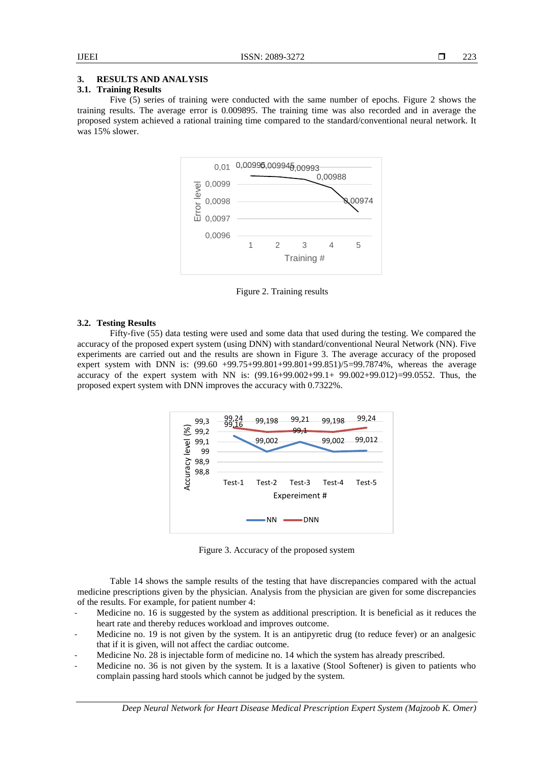## **3. RESULTS AND ANALYSIS**

## **3.1. Training Results**

Five (5) series of training were conducted with the same number of epochs. Figure 2 shows the training results. The average error is 0.009895. The training time was also recorded and in average the proposed system achieved a rational training time compared to the standard/conventional neural network. It was 15% slower.



Figure 2. Training results

## **3.2. Testing Results**

Fifty-five (55) data testing were used and some data that used during the testing. We compared the accuracy of the proposed expert system (using DNN) with standard/conventional Neural Network (NN). Five experiments are carried out and the results are shown in Figure 3. The average accuracy of the proposed expert system with DNN is: (99.60 +99.75+99.801+99.801+99.851)/5=99.7874%, whereas the average accuracy of the expert system with NN is:  $(99.16+99.002+99.1+ 99.002+99.012) = 99.0552$ . Thus, the proposed expert system with DNN improves the accuracy with 0.7322%.



Figure 3. Accuracy of the proposed system

Table 14 shows the sample results of the testing that have discrepancies compared with the actual medicine prescriptions given by the physician. Analysis from the physician are given for some discrepancies of the results. For example, for patient number 4:

- Medicine no. 16 is suggested by the system as additional prescription. It is beneficial as it reduces the heart rate and thereby reduces workload and improves outcome.
- Medicine no. 19 is not given by the system. It is an antipyretic drug (to reduce fever) or an analgesic that if it is given, will not affect the cardiac outcome.
- Medicine No. 28 is injectable form of medicine no. 14 which the system has already prescribed.
- Medicine no. 36 is not given by the system. It is a laxative (Stool Softener) is given to patients who complain passing hard stools which cannot be judged by the system.